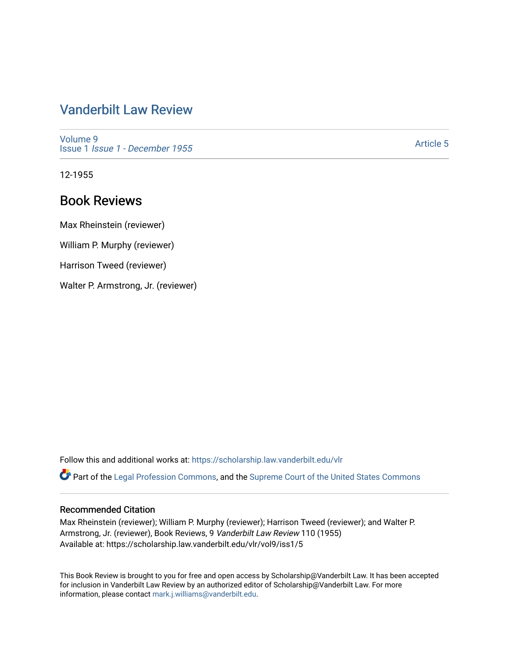## [Vanderbilt Law Review](https://scholarship.law.vanderbilt.edu/vlr)

[Volume 9](https://scholarship.law.vanderbilt.edu/vlr/vol9) Issue 1 [Issue 1 - December 1955](https://scholarship.law.vanderbilt.edu/vlr/vol9/iss1) 

[Article 5](https://scholarship.law.vanderbilt.edu/vlr/vol9/iss1/5) 

12-1955

## Book Reviews

Max Rheinstein (reviewer)

William P. Murphy (reviewer)

Harrison Tweed (reviewer)

Walter P. Armstrong, Jr. (reviewer)

Follow this and additional works at: [https://scholarship.law.vanderbilt.edu/vlr](https://scholarship.law.vanderbilt.edu/vlr?utm_source=scholarship.law.vanderbilt.edu%2Fvlr%2Fvol9%2Fiss1%2F5&utm_medium=PDF&utm_campaign=PDFCoverPages)

Part of the [Legal Profession Commons](http://network.bepress.com/hgg/discipline/1075?utm_source=scholarship.law.vanderbilt.edu%2Fvlr%2Fvol9%2Fiss1%2F5&utm_medium=PDF&utm_campaign=PDFCoverPages), and the [Supreme Court of the United States Commons](http://network.bepress.com/hgg/discipline/1350?utm_source=scholarship.law.vanderbilt.edu%2Fvlr%2Fvol9%2Fiss1%2F5&utm_medium=PDF&utm_campaign=PDFCoverPages) 

## Recommended Citation

Max Rheinstein (reviewer); William P. Murphy (reviewer); Harrison Tweed (reviewer); and Walter P. Armstrong, Jr. (reviewer), Book Reviews, 9 Vanderbilt Law Review 110 (1955) Available at: https://scholarship.law.vanderbilt.edu/vlr/vol9/iss1/5

This Book Review is brought to you for free and open access by Scholarship@Vanderbilt Law. It has been accepted for inclusion in Vanderbilt Law Review by an authorized editor of Scholarship@Vanderbilt Law. For more information, please contact [mark.j.williams@vanderbilt.edu](mailto:mark.j.williams@vanderbilt.edu).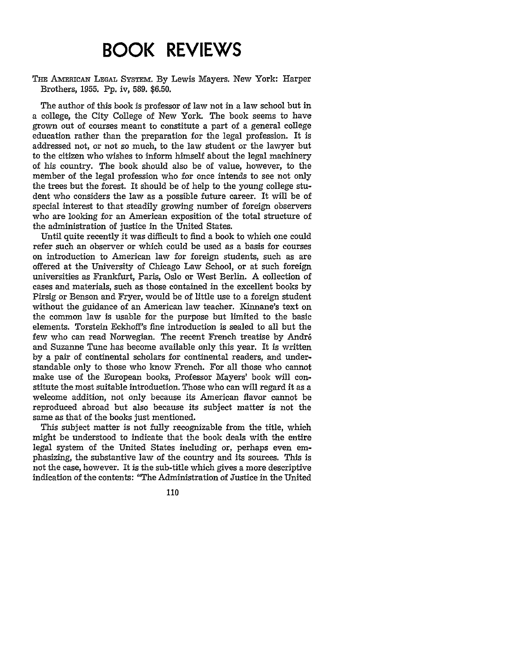## **BOOK REVIEWS**

THE AMERICAN LEGAL SYSTEM. By Lewis Mayers. New York: Harper Brothers, 1955. **Pp.** iv, **589. \$6.50.**

The author of this book is professor of law not in a law school but in a college, the City College of New York. The book seems to have grown out of courses meant to constitute a part of a general college education rather than the preparation for the legal profession. It is addressed not, or not so much, to the law student or the lawyer but to the citizen who wishes to inform himself about the legal machinery of his country. The book should also be of value, however, to the member of the legal profession who for once intends to see not only the trees but the forest. It should be of help to the young college student who considers the law as a possible future career. It will be of special interest to that steadily growing number of foreign observers who are looking for an American exposition of the total structure of the administration of justice in the United States.

Until quite recently it was difficult to find a book to which one could refer such an observer or which could be used as a basis for courses on introduction to American law for foreign students, such as are offered at the University of Chicago Law School, or at such foreign universities as Frankfurt, Paris, Oslo or West Berlin. A collection of cases and materials, such as those contained in the excellent books **by** Pirsig or Benson and Fryer, would be of little use to a foreign student without the guidance of an American law teacher. Kinnane's text on the common law is usable for the purpose but limited to the basic elements. Torstein Eckhoff's fine introduction is sealed to **all** but the few who can read Norwegian. The recent French treatise **by** Andr6 and Suzanne Tunc has become available only this year. It is written **by** a pair of continental scholars for continental readers, and understandable only to those who know French. For all those who cannot make use of the European books, Professor Mayers' book will constitute the most suitable introduction. Those who can will regard it as a welcome addition, not only because its American flavor cannot be reproduced abroad but also because its subject matter is not the same as that of the books just mentioned.

This subject matter is not fully recognizable from the title, which might be understood to indicate that the book deals with the entire legal system of the United States including or, perhaps even emphasizing, the substantive law of the country and its sources. This **is** not the case, however. It is the sub-title which gives a more descriptive indication of the contents: "The Administration of Justice in the United

**110**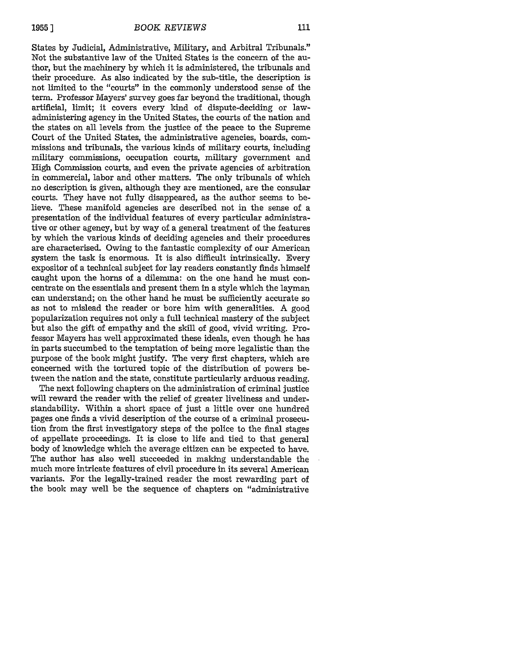States by Judicial, Administrative, Military, and Arbitral Tribunals." Not the substantive law of the United States is the concern of the author, but the machinery by which it is administered, the tribunals and their procedure. As also indicated by the sub-title, the description is not limited to the "courts" in the commonly understood sense of the term. Professor Mayers' survey goes far beyond the traditional, though artificial, limit; it covers every kind of dispute-deciding or lawadministering agency in the United States, the courts of the nation and the states on all levels from the justice of the peace to the Supreme Court of the United States, the administrative agencies, boards, commissions and tribunals, the various kinds of military courts, including military commissions, occupation courts, military government and High Commission courts, and even the private agencies of arbitration in commercial, labor and other matters. The only tribunals of which no description is given, although they are mentioned, are the consular courts. They have not fully disappeared, as the author seems to believe. These manifold agencies are described not in the sense of a presentation of the individual features of every particular administrative or other agency, but by way of a general treatment of the features by which the various kinds of deciding agencies and their procedures are characterised. Owing to the fantastic complexity of our American system the task is enormous. It is also difficult intrinsically. Every expositor of a technical subject for lay readers constantly finds himself caught upon the horns of a dilemma: on the one hand he must concentrate on the essentials and present them in a style which the layman can understand; on the other hand he must be sufficiently accurate so as not to mislead the reader or bore him with generalities. A good popularization requires not only a full technical mastery of the subject but also the gift of empathy and the skill of good, vivid writing. Professor Mayers has well approximated these ideals, even though he has in parts succumbed to the temptation of being more legalistic than the purpose of the book might justify. The very first chapters, which are concerned with the tortured topic of the distribution of powers between the nation and the state, constitute particularly arduous reading.

The next following chapters on the administration of criminal justice will reward the reader with the relief of greater liveliness and understandability. Within a short space of just a little over one hundred pages one finds a vivid description of the course of a criminal prosecution from the first investigatory steps of the police to the final stages of appellate proceedings. It is close to life and tied to that general body of knowledge which the average citizen can be expected to have. The author has also well succeeded in making understandable the much more intricate features of civil procedure in its several American variants. For the legally-trained reader the most rewarding part of the book may well be the sequence of chapters on "administrative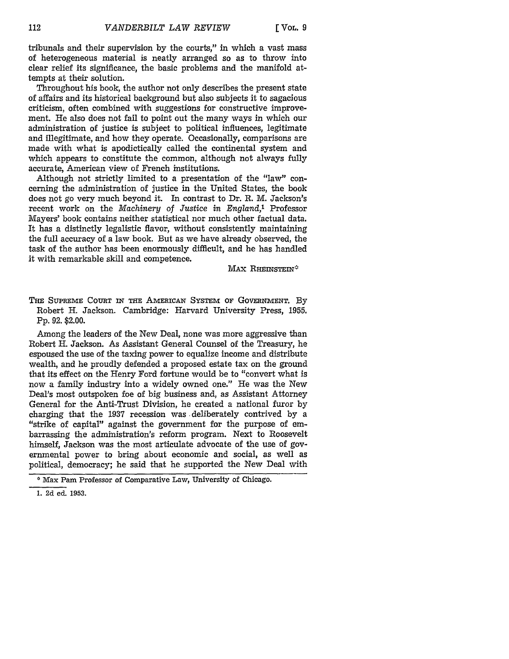tribunals and their supervision **by** the courts," in which a vast mass of heterogeneous material is neatly arranged so as to throw into clear relief its significance, the basic problems and the manifold attempts at their solution.

Throughout his book, the author not only describes the present state of affairs and its historical background but also subjects it to sagacious criticism, often combined with suggestions for constructive improvement. He also does not fail to point out the many ways in which our administration of justice is subject to political influences, legitimate and illegitimate, and how they operate. Occasionally, comparisons are made with what is apodictically called the continental system and which appears to constitute the common, although not always fully accurate, American view of French institutions.

Although not strictly limited to a presentation of the "law" concerning the administration of justice in the United States, the book does not go very much beyond it. In contrast to Dr. R. M. Jackson's recent work on the *Machinery of Justice in England,1* Professor Mayers' book contains neither statistical nor much other factual data. It has a distinctly legalistic flavor, without consistently maintaining the full accuracy of a law book. But as we have already observed, the task of the author has been enormously difficult, and he has handled it with remarkable skill and competence.

MAX RHEINSTEIN<sup>:</sup>

THE SUPREME COURT IN **THE** AMERICAN SYSTEM OF GOVERNMENT. By Robert H. Jackson. Cambridge: Harvard University Press, 1955. Pp. 92. \$2.00.

Among the leaders of the New Deal, none was more aggressive than Robert H. Jackson. As Assistant General Counsel of the Treasury, he espoused the use of the taxing power to equalize income and distribute wealth, and he proudly defended a proposed estate tax on the ground that its effect on the Henry Ford fortune would be to "convert what is now a family industry into a widely owned one." He was the New Deal's most outspoken foe of big business and, as Assistant Attorney General for the Anti-Trust Division, he created a national furor **by** charging that the 1937 recession was deliberately contrived by a "strike of capital" against the government for the purpose of embarrassing the administration's reform program. Next to Roosevelt himself, Jackson was the most articulate advocate of the use of governmental power to bring about economic and social, as well as political, democracy; he said that he supported the New Deal with

<sup>\*</sup> Max Pam Professor of Comparative Law, University of Chicago.

<sup>1. 2</sup>d ed. 1953.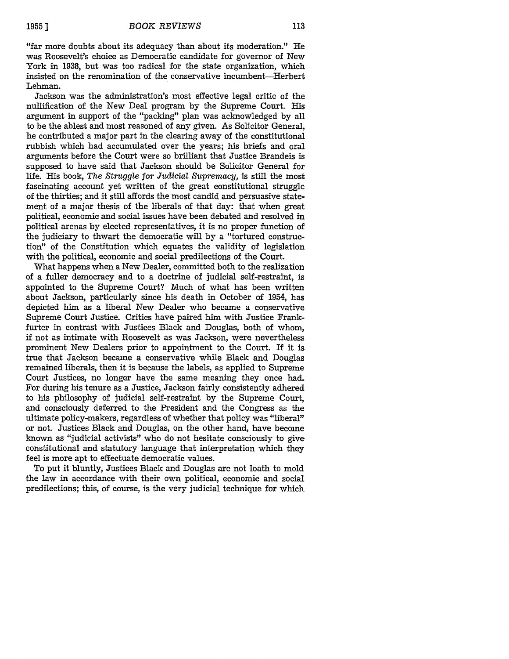"far more doubts about its adequacy than about its moderation." He was Roosevelt's choice as Democratic candidate for governor of New York in 1938, but was too radical for the state organization, which insisted on the renomination of the conservative incumbent-Herbert Lehman.

Jackson was the administration's most effective legal critic of the nullification of the New Deal program by the Supreme Court. His argument in support of the "packing" plan was acknowledged by all to be the ablest and most reasoned of any given. As Solicitor General, he contributed a major part in the clearing away of the constitutional rubbish which had accumulated over the years; his briefs and oral arguments before the Court were so brilliant that Justice Brandeis is supposed to have said that Jackson should be Solicitor General for life. His book, *The Struggle for Judicial Supremacy,* is still the most fascinating account yet written of the great constitutional struggle of the thirties; and it still affords the most candid and persuasive statement of a major thesis of the liberals of that day: that when great political, economic and social issues have been debated and resolved in political arenas by elected representatives, it is no proper function of the judiciary to thwart the democratic will by a "tortured construction" of the Constitution which equates the validity of legislation with the political, economic and social predilections of the Court.

What happens when a New Dealer, committed both to the realization of a fuller democracy and to a doctrine of judicial self-restraint, is appointed to the Supreme Court? Much of what has been written about Jackson, particularly since his death in October of 1954, has depicted him as a liberal New Dealer who became a conservative Supreme Court Justice. Critics have paired him with Justice Frankfurter in contrast with Justices Black and Douglas, both of whom, if not as intimate with Roosevelt as was Jackson, were nevertheless prominent New Dealers prior to appointment to the Court. If it is true that Jackson became a conservative while Black and Douglas remained liberals, then it is because the labels, as applied to Supreme Court Justices, no longer have the same meaning they once had. For during his tenure as a Justice, Jackson fairly consistently adhered to his philosophy of judicial self-restraint by the Supreme Court, and consciously deferred to the President and the Congress as the ultimate policy-makers, regardless of whether that policy was "liberal" or not. Justices Black and Douglas, on the other hand, have become known as "judicial activists" who do not hesitate consciously to give constitutional and statutory language that interpretation which they feel is more apt to effectuate democratic values.

To put it bluntly, Justices Black and Douglas are not loath to mold the law in accordance with their own political, economic and social predilections; this, of course, is the very judicial technique for which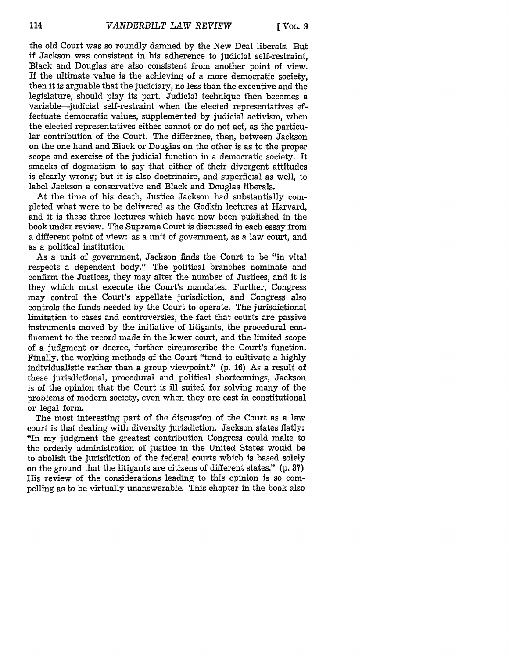the old Court was so roundly damned by the New Deal liberals. But if Jackson was consistent in his adherence to judicial self-restraint, Black and Douglas are also consistent from another point of view. If the ultimate value is the achieving of a more democratic society, then it is arguable that the judiciary, no less than the executive and the legislature, should play its part. Judicial technique then becomes a variable-judicial self-restraint when the elected representatives effectuate democratic values, supplemented by judicial activism, when the elected representatives either cannot or do not act, as the particular contribution of the Court. The difference, then, between Jackson on the one hand and Black or Douglas on the other is as to the proper scope and exercise of the judicial function in a democratic society. It smacks of dogmatism to say that either of their divergent attitudes is clearly wrong; but it is also doctrinaire, and superficial as well, to label Jackson a conservative and Black and Douglas liberals.

At the time of his death, Justice Jackson had substantially completed what were to be delivered as the Godkin lectures at Harvard, and it is these three lectures which have now been published in the book under review. The Supreme Court is discussed in each essay from a different point of view: as a unit of government, as a law court, and as a political institution.

As a unit of government, Jackson finds the Court to be "in vital respects a dependent body." The political branches nominate and confirm the Justices, they may alter the number of Justices, and it is they which must execute the Court's mandates. Further, Congress may control the Court's appellate jurisdiction, and Congress also controls the funds needed by the Court to operate. The jurisdictional limitation to cases and controversies, the fact that courts are passive instruments moved by the initiative of litigants, the procedural confinement to the record made in the lower court, and the limited scope of a judgment or decree, further circumscribe the Court's function. Finally, the working methods of the Court "tend to cultivate a highly individualistic rather than a group viewpoint." (p. 16) As a result of these jurisdictional, procedural and political shortcomings, Jackson is of the opinion that the Court is ill suited for solving many of the problems of modern society, even when they are cast in constitutional or legal form.

The most interesting part of the discussion of the Court as a law ' court is that dealing with diversity jurisdiction. Jackson states flatly: "In my judgment the greatest contribution Congress could make to the orderly administration of justice in the United States would be to abolish the jurisdiction of the federal courts which is based solely on the ground that the litigants are citizens of different states." (p. **37)** His review of the considerations leading to this opinion is so compelling as to be virtually unanswerable. This chapter in the book also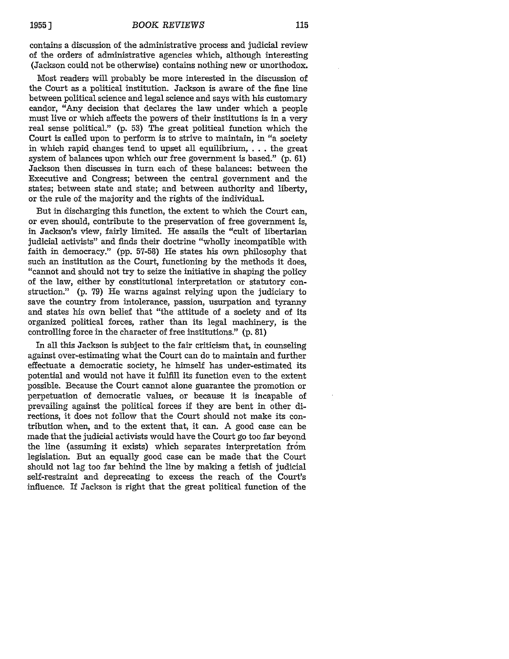contains a discussion of the administrative process and judicial review of the orders of administrative agencies which, although interesting (Jackson could not be otherwise) contains nothing new or unorthodox.

Most readers will probably be more interested in the discussion of the Court as a political institution. Jackson is aware of the fine line between political science and legal science and says with his customary candor, "Any decision that declares the law under which a people must live or which affects the powers of their institutions is in a very real sense political." (p. 53) The great political function which the Court is called upon to perform is to strive to maintain, in "a society in which rapid changes tend to upset all equilibrium, ... the great system of balances upon which our free government is based." (p. 61) Jackson then discusses in turn each of these balances: between the Executive and Congress; between the central government and the states; between state and state; and between authority and liberty, or the rule of the majority and the rights of the individual.

But in discharging this function, the extent to which the Court can, or even should, contribute to the preservation of free government is, in Jackson's view, fairly limited. He assails the "cult of libertarian judicial activists" and finds their doctrine "wholly incompatible with faith in democracy." (pp. 57-58) He states his own philosophy that such an institution as the Court, functioning by the methods it does, "cannot and should not try to seize the initiative in shaping the policy of the law, either by constitutional interpretation or statutory construction." (p. 79) He warns against relying upon the judiciary to save the country from intolerance, passion, usurpation and tyranny and states his own belief that "the attitude of a society and of its organized political forces, rather than its legal machinery, is the controlling force in the character of free institutions." (p. 81)

In all this Jackson is subject to the fair criticism that, in counseling against over-estimating what the Court can do to maintain and further effectuate a democratic society, he himself has under-estimated its potential and would not have it fulfill its function even to the extent possible. Because the Court cannot alone guarantee the promotion or perpetuation of democratic values, or because it is incapable of prevailing against the political forces if they are bent in other directions, it does not follow that the Court should not make its contribution when, and to the extent that, it can. A good case can be made that the judicial activists would have the Court go too far beyond the line (assuming it exists) which separates interpretation from legislation. But an equally good case can be made that the Court should not lag too far behind the line by making a fetish of judicial self-restraint and deprecating to excess the reach of the Court's influence. If Jackson is right that the great political function of the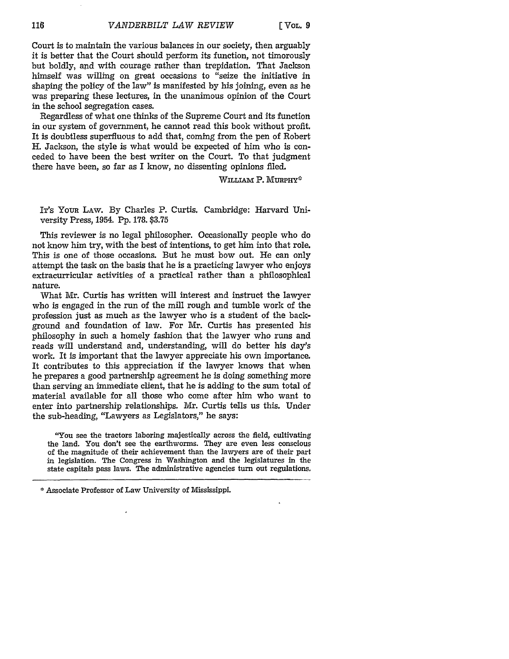Court is to maintain the various balances in our society, then arguably it is better that the Court should perform its function, not timorously but boldly, and with courage rather than trepidation. That Jackson himself was willing on great occasions to "seize the initiative in shaping the policy of the law" is manifested by his joining, even as he was preparing these lectures, in the unanimous opinion of the Court in the school segregation cases.

Regardless of what one thinks of the Supreme Court and its function in our system of government, he cannot read this book without profit. It is doubtless superfluous to add that, coming from the pen of Robert H. Jackson, the style is what would be expected of him who is conceded to have been the best writer on the Court. To that judgment there have been, so far as I know, no dissenting opinions filed.

WILLIAM P. MURPHY<sup>\*</sup>

It's Your Law. By Charles P. Curtis. Cambridge: Harvard University Press, 1954. Pp. 178. \$3.75

This reviewer is no legal philosopher. Occasionally people who do not know him try, with the best of intentions, to get him into that role. This is one of those occasions. But he must bow out. He can only attempt the task on the basis that he is a practicing lawyer who enjoys extracurricular activities of a practical rather than a philosophical nature.

What Mr. Curtis has written will interest and instruct the lawyer who is engaged in the run of the mill rough and tumble work of the profession just as much as the lawyer who is a student of the background and foundation of law. For Mr. Curtis has presented his philosophy in such a homely fashion that the lawyer who runs and reads will understand and, understanding, will do better his day's work. It is important that the lawyer appreciate his own importance. It contributes to this appreciation if the lawyer knows that when he prepares a good partnership agreement he is doing something more than serving an immediate client, that he is adding to the sum total of material available for all those who come after him who want to enter into partnership relationships. **Mr.** Curtis tells us this. Under the sub-heading, "Lawyers as Legislators," he says:

*'"You* see the tractors laboring majestically across the field, cultivating the land. You don't see the earthworms. They are even less conscious of the magnitude of their achievement than the lawyers are of their part in legislation. The Congress in Washington and the legislatures in the state capitals pass laws. The administrative agencies turn out regulations,

Associate Professor of Law University of Mississippi.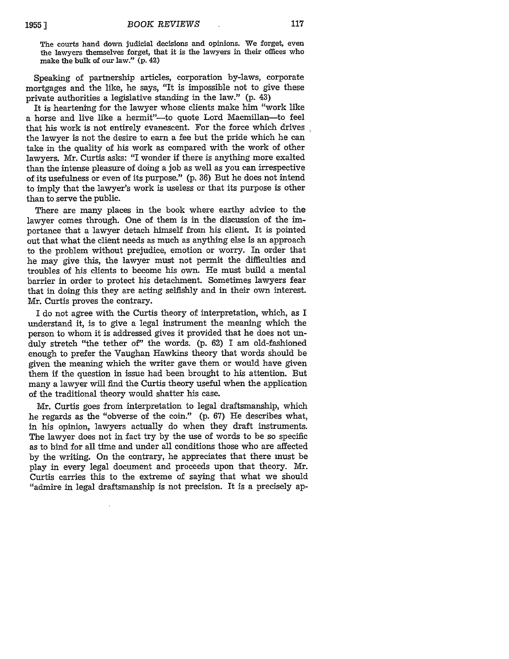The courts hand down judicial decisions and opinions. We forget, even the lawyers themselves forget, that it is the lawyers in their offices who make the bulk of our law." (p. 42)

Speaking of partnership articles, corporation by-laws, corporate mortgages and the like, he says, "It is impossible not to give these private authorities a legislative standing in the law." (p. 43)

It is heartening for the lawyer whose clients make him "work like a horse and live like a hermit"--to quote Lord Macmillan--to feel that his work is not entirely evanescent. For the force which drives the lawyer is not the desire to earn a fee but the pride which he can take in the quality of his work as compared with the work of other lawyers. Mr. Curtis asks: "I wonder if there is anything more exalted than the intense pleasure of doing a job as well as you can irrespective of its usefulness or even of its purpose." (p. 36) But he does not intend to imply that the lawyer's work is useless or that its purpose is other than to serve the public.

There are many places in the book where earthy advice to the lawyer comes through. One of them is in the discussion of the importance that a lawyer detach himself from his client. It is pointed out that what the client needs as much as anything else is an approach to the problem without prejudice, emotion or worry. In order that he may give this, the lawyer must not permit the difficulties and troubles of his clients to become his own. He must build a mental barrier in order to protect his detachment. Sometimes lawyers fear that in doing this they are acting selfishly and in their own interest. Mr. Curtis proves the contrary.

I do not agree with the Curtis theory of interpretation, which, as I understand it, is to give a legal instrument the meaning which the person to whom it is addressed gives it provided that he does not unduly stretch "the tether of" the words. (p. 62) I am old-fashioned enough to prefer the Vaughan Hawkins theory that words should be given the meaning which the writer gave them or would have given them if the question in issue had been brought to his attention. But many a lawyer will find the Curtis theory useful when the application of the traditional theory would shatter his case.

Mr. Curtis goes from interpretation to legal draftsmanship, which he regards as the "obverse of the coin." (p. 67) He describes what, in his opinion, lawyers actually do when they draft instruments. The lawyer does not in fact try by the use of words to be so specific as to bind for all time and under all conditions those who are affected by the writing. On the contrary, he appreciates that there must be play in every legal document and proceeds upon that theory. Mr. Curtis carries this to the extreme of saying that what we should "admire in legal draftsmanship is not precision. It is a precisely ap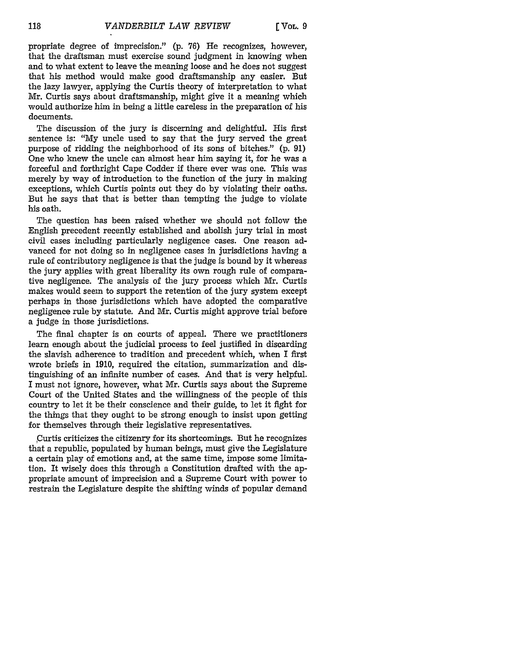propriate degree of imprecision." (p. 76) He recognizes, however, that the draftsman must exercise sound judgment in knowing when and to what extent to leave the meaning loose and he does not suggest that his method would make good draftsmanship any easier. But the lazy lawyer, applying the Curtis theory of interpretation to what Mr. Curtis says about draftsmanship, might give it a meaning which would authorize him in being a little careless in the preparation of his documents.

The discussion of the jury is discerning and delightful. His first sentence is: "My uncle used to say that the jury served the great purpose of ridding the neighborhood of its sons of bitches." (p. 91) One who knew the uncle can almost hear him saying it, for he was a forceful and forthright Cape Codder if there ever was one. This was merely by way of introduction to the function of the jury in making exceptions, which Curtis points out they do **by** violating their oaths. But he says that that is better than tempting the judge to violate his oath.

The question has been raised whether we should not follow the English precedent recently established and abolish jury trial in most civil cases including particularly negligence cases. One reason advanced for not doing so in negligence cases in jurisdictions having a rule of contributory negligence is that the judge is bound by it whereas the jury applies with great liberality its own rough rule of comparative negligence. The analysis of the jury process which Mr. Curtis makes would seem to support the retention of the jury system except perhaps in those jurisdictions which have adopted the comparative negligence rule by statute. And Mr. Curtis might approve trial before a judge in those jurisdictions.

The final chapter is on courts of appeal. There we practitioners learn enough about the judicial process to feel justified in discarding the slavish adherence to tradition and precedent which, when I first wrote briefs in 1910, required the citation, summarization and distinguishing of an infinite number of cases. And that is very helpful. I must not ignore, however, what Mr. Curtis says about the Supreme Court of the United States and the willingness of the people of this country to let it be their conscience and their guide, to let it fight for the things that they ought to be strong enough to insist upon getting for themselves through their legislative representatives.

,Curtis criticizes the citizenry for its shortcomings. But he recognizes that a republic, populated by human beings, must give the Legislature a certain play of emotions and, at the same time, impose some limitation. It wisely does this through a Constitution drafted with the appropriate amount of imprecision and a Supreme Court with power to restrain the Legislature despite the shifting winds of popular demand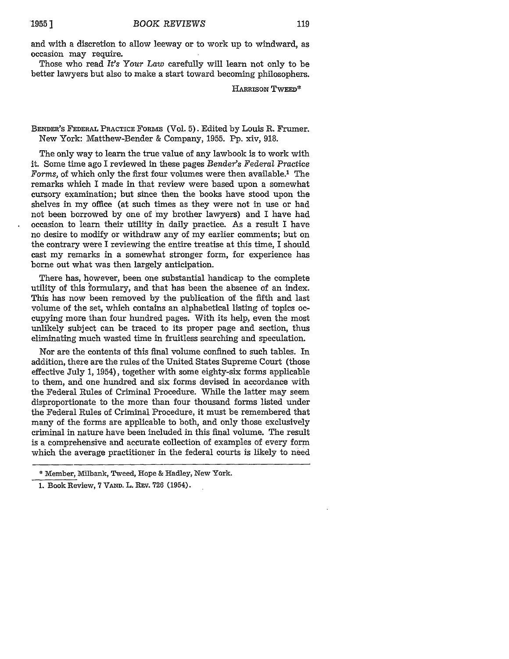and with a discretion to allow leeway or to work up to windward, as occasion may require.

Those who read *It's Your Law* carefully will learn not only to be better lawyers but also to make a start toward becoming philosophers.

HARRISON TwEED\*

BENDER'S FEDERAL PRACTICE FORMS (Vol. 5). Edited by Louis R. Frumer. New York: Matthew-Bender & Company, 1955. Pp. xiv, 918.

The only way to learn the true value of any lawbook is to work with it. Some time ago I reviewed in these pages Bender's *Federal Practice Forms,* of which only the first four volumes were then available.' The remarks which I made in that review were based upon a somewhat cursory examination; but since then the books have stood upon the shelves in my office (at such times as they were not in use or had not been borrowed by one of my brother lawyers) and I have had occasion to learn their utility in daily practice. As a result I have no desire to modify or withdraw any of my earlier comments; but on the contrary were I reviewing the entire treatise at this time, I should cast my remarks in a somewhat stronger form, for experience has borne out what was then largely anticipation.

There has, however, been one substantial handicap to the complete utility of this formulary, and that has been the absence of an index. This has now been removed by the publication of the fifth and last volume of the set, which contains an alphabetical listing of topics occupying more than four hundred pages. With its help, even the most unlikely subject can be traced to its proper page and section, thus eliminating much wasted time in fruitless searching and speculation.

Nor are the contents of this final volume confined to such tables. In addition, there are the rules of the United States Supreme Court (those effective July 1, 1954), together with some eighty-six forms applicable to them, and one hundred and six forms devised in accordance with the Federal Rules of Criminal Procedure. While the latter may seem disproportionate to the more than four thousand forms listed under the Federal Rules of Criminal Procedure, it must be remembered that many of the forms are applicable to both, and only those exclusively criminal in nature have been included in this final volume. The result is a comprehensive and accurate collection of examples of every form which the average practitioner in the federal courts is likely to need

<sup>\*</sup> Member, Milbank, Tweed, Hope & Hadley, New York.

<sup>1.</sup> Book Review, 7 VAND. L. REv. 726 (1954).